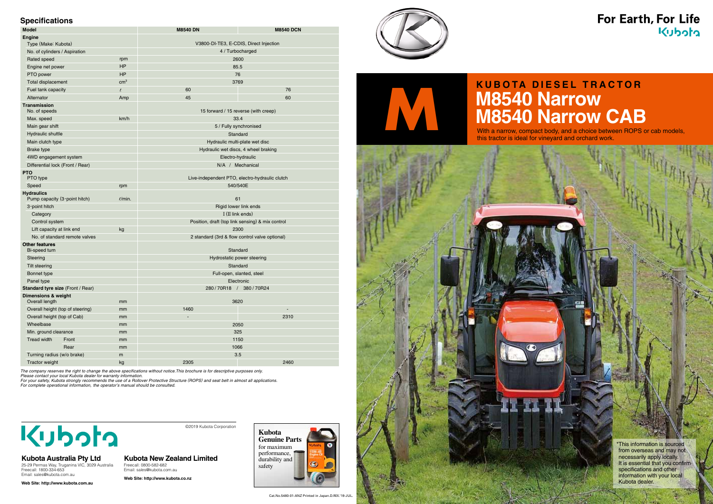| --------<br>Model                                  |                 | <b>M8540 DN</b>                                  | <b>M8540 DCN</b>                               |  |
|----------------------------------------------------|-----------------|--------------------------------------------------|------------------------------------------------|--|
| <b>Engine</b>                                      |                 |                                                  |                                                |  |
| Type (Make: Kubota)                                |                 | V3800-DI-TE3, E-CDIS, Direct Injection           |                                                |  |
| No. of cylinders / Aspiration                      |                 | 4 / Turbocharged                                 |                                                |  |
| Rated speed                                        | rpm             | 2600                                             |                                                |  |
| Engine net power                                   | <b>HP</b>       |                                                  | 85.5                                           |  |
| PTO power                                          | <b>HP</b>       | 76                                               |                                                |  |
| Total displacement                                 | cm <sup>3</sup> |                                                  | 3769                                           |  |
| Fuel tank capacity                                 | $\ell$          | 60                                               | 76                                             |  |
| Alternator                                         | Amp             | 45                                               | 60                                             |  |
| <b>Transmission</b><br>No. of speeds               |                 | 15 forward / 15 reverse (with creep)             |                                                |  |
| Max. speed                                         | km/h            | 33.4                                             |                                                |  |
| Main gear shift                                    |                 | 5 / Fully synchronised                           |                                                |  |
| Hydraulic shuttle                                  |                 | Standard                                         |                                                |  |
| Main clutch type                                   |                 | Hydraulic multi-plate wet disc                   |                                                |  |
| <b>Brake type</b>                                  |                 | Hydraulic wet discs, 4 wheel braking             |                                                |  |
| 4WD engagement system                              |                 | Electro-hydraulic                                |                                                |  |
| Differential lock (Front / Rear)                   |                 | N/A / Mechanical                                 |                                                |  |
| <b>PTO</b><br>PTO type                             |                 |                                                  | Live-independent PTO, electro-hydraulic clutch |  |
| Speed                                              | rpm             | 540/540E                                         |                                                |  |
| <b>Hydraulics</b><br>Pump capacity (3-point hitch) | $\ell$ /min.    |                                                  | 61                                             |  |
| 3-point hitch                                      |                 | Rigid lower link ends                            |                                                |  |
| Category                                           |                 | I (II link ends)                                 |                                                |  |
| Control system                                     |                 | Position, draft (top link sensing) & mix control |                                                |  |
| Lift capacity at link end                          | kg              | 2300                                             |                                                |  |
| No. of standard remote valves                      |                 | 2 standard (3rd & flow control valve optional)   |                                                |  |
| <b>Other features</b><br>Bi-speed turn             |                 | Standard                                         |                                                |  |
| Steering                                           |                 | Hydrostatic power steering                       |                                                |  |
| Tilt steering                                      |                 | Standard                                         |                                                |  |
| Bonnet type                                        |                 | Full-open, slanted, steel                        |                                                |  |
| Panel type                                         |                 | Electronic                                       |                                                |  |
| <b>Standard tyre size (Front / Rear)</b>           |                 | 280/70R18 / 380/70R24                            |                                                |  |
| <b>Dimensions &amp; weight</b><br>Overall length   | mm              |                                                  | 3620                                           |  |
| Overall height (top of steering)                   | mm              | 1460                                             | $\overline{\phantom{a}}$                       |  |
| Overall height (top of Cab)                        | mm              |                                                  | 2310                                           |  |
| Wheelbase                                          | mm              | 2050                                             |                                                |  |
| Min. ground clearance                              | mm              | 325                                              |                                                |  |
| Tread width<br>Front                               | mm              | 1150                                             |                                                |  |
| Rear                                               | mm              | 1066                                             |                                                |  |
| Turning radius (w/o brake)                         | m               |                                                  | 3.5                                            |  |
| Tractor weight                                     | kg              | 2305                                             | 2460                                           |  |

# **KUBOTA DIESEL TRACTOR**<br> **M8540 Narrow CAE**<br>
With a narrow, compact body, and a choice between ROPS<br>
this tractor is ideal for vineyard and orchard work. **M8540 Narrow CAB**

### **Specifications**

*The company reserves the right to change the above specifications without notice.This brochure is for descriptive purposes only. Please contact your local Kubota dealer for warranty information.* 

*For your safety, Kubota strongly recommends the use of a Rollover Protective Structure (ROPS) and seat belt in almost all applications. For complete operational information, the operator's manual should be consulted.* 

## **R**

\*This information is sourced from overseas and may not necessarily apply locally. It is essential that you confirm specifications and other information with your local Kubota dealer.

With a narrow, compact body, and a choice between ROPS or cab models, this tractor is ideal for vineyard and orchard work.

©2019 Kubota Corporation



### **Kubota Australia Pty Ltd**

25-29 Permas Way, Truganina VIC, 3029 Australia Freecall: 1800-334-653 Email: sales@kubota.com.au

**Web Site: http://www.kubota.com.au**

### **Kubota New Zealand Limited** Freecall: 0800-582-682

Email: sales@kubota.com.au **Web Site: http://www.kubota.co.nz**



Cat.No.5480-01-ANZ Printed in Japan.D.REX.'19-JUL.





### For Earth, For Life Kubota